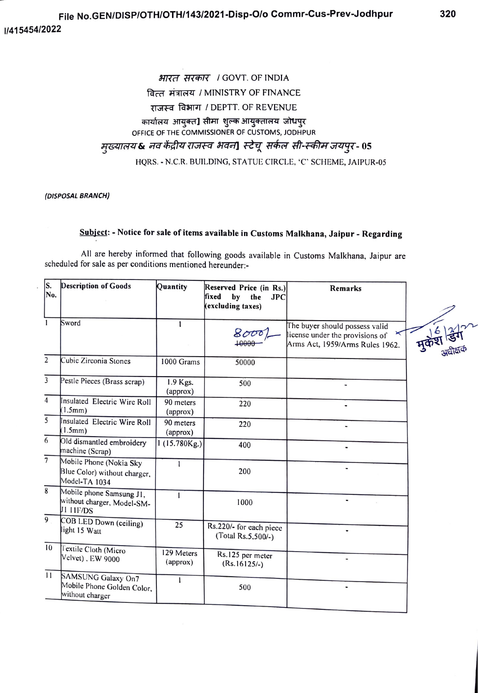## भारत सरकार / GOVT. OF INDIA वित्त मंत्रालय / MINISTRY OF FINANCE राजस्व विभाग / DEPTT. OF REVENUE कार्यालय आयुक्त] सीमा शुल्क आयुक्तालय जोधपुर OFFICE OF THE COMMISSIONER OF CUSTOMS, JODHPUR मुख्यालय& नव केंद्रीय राजस्व भवन] स्टेचू सर्कल सी-स्कीम जयपुर- 05 HQRS. - N.C.R. BUILDING, STATUE CIRCLE, 'C' SCHEME, JAIPUR-05

(DISPOSAL BRANCH)

## Subject: - Notice for sale of items available in Customs Malkhana, Jaipur - Regarding

All are hereby informed that following goods available in Customs Malkhana, Jaipur are scheduled for sale as per conditions mentioned hereunder:-

| S.<br>No.      | <b>Description of Goods</b>                                              | Quantity               | Reserved Price (in Rs.)<br>fixed<br>$\mathbf{b}\mathbf{v}$<br>the<br><b>JPC</b><br>(excluding taxes) | <b>Remarks</b>                                                                                       |  |
|----------------|--------------------------------------------------------------------------|------------------------|------------------------------------------------------------------------------------------------------|------------------------------------------------------------------------------------------------------|--|
| $\mathbf{1}$   | Sword                                                                    |                        | 8000<br>+0000                                                                                        | The buyer should possess valid<br>license under the provisions of<br>Arms Act, 1959/Arms Rules 1962. |  |
| $\overline{2}$ | Cubic Zirconia Stones                                                    | 1000 Grams             | 50000                                                                                                |                                                                                                      |  |
| 3              | Pestle Pieces (Brass scrap)                                              | 1.9 Kgs.<br>(approx)   | 500                                                                                                  |                                                                                                      |  |
| $\overline{4}$ | Insulated Electric Wire Roll<br>(1.5mm)                                  | 90 meters<br>(approx)  | 220                                                                                                  |                                                                                                      |  |
| 5              | Insulated Electric Wire Roll<br>(1.5mm)                                  | 90 meters<br>(approx)  | 220                                                                                                  |                                                                                                      |  |
| 6              | Old dismantled embroidery<br>machine (Scrap)                             | 1(15.780Kg.)           | 400                                                                                                  |                                                                                                      |  |
| $\overline{7}$ | Mobile Phone (Nokia Sky<br>Blue Color) without charger,<br>Model-TA 1034 | $\mathbf{1}$           | 200                                                                                                  | $\blacksquare$                                                                                       |  |
| 8              | Mobile phone Samsung J1,<br>without charger, Model-SM-<br>JI HF/DS       | $\mathbf{I}$           | 1000                                                                                                 |                                                                                                      |  |
| $\overline{9}$ | COB LED Down (ceiling)<br>light 15 Watt                                  | 25                     | Rs.220/- for each piece<br>(Total Rs.5,500/-)                                                        |                                                                                                      |  |
| 10             | Textile Cloth (Micro<br>Velvet), EW 9000                                 | 129 Meters<br>(approx) | Rs.125 per meter<br>$(Rs.16125/-)$                                                                   |                                                                                                      |  |
| 11             | SAMSUNG Galaxy On7<br>Mobile Phone Golden Color,<br>without charger      | 1                      | 500                                                                                                  |                                                                                                      |  |